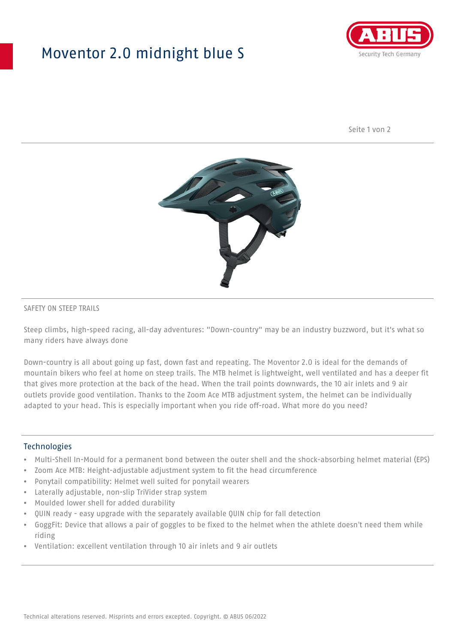## Moventor 2.0 midnight blue S



Seite 1 von 2



#### SAFETY ON STEEP TRAILS

Steep climbs, high-speed racing, all-day adventures: "Down-country" may be an industry buzzword, but it's what so many riders have always done

Down-country is all about going up fast, down fast and repeating. The Moventor 2.0 is ideal for the demands of mountain bikers who feel at home on steep trails. The MTB helmet is lightweight, well ventilated and has a deeper fit that gives more protection at the back of the head. When the trail points downwards, the 10 air inlets and 9 air outlets provide good ventilation. Thanks to the Zoom Ace MTB adjustment system, the helmet can be individually adapted to your head. This is especially important when you ride off-road. What more do you need?

#### **Technologies**

- Multi-Shell In-Mould for a permanent bond between the outer shell and the shock-absorbing helmet material (EPS)
- Zoom Ace MTB: Height-adjustable adjustment system to fit the head circumference
- Ponytail compatibility: Helmet well suited for ponytail wearers
- Laterally adjustable, non-slip TriVider strap system
- Moulded lower shell for added durability
- QUIN ready easy upgrade with the separately available QUIN chip for fall detection
- GoggFit: Device that allows a pair of goggles to be fixed to the helmet when the athlete doesn't need them while riding
- Ventilation: excellent ventilation through 10 air inlets and 9 air outlets